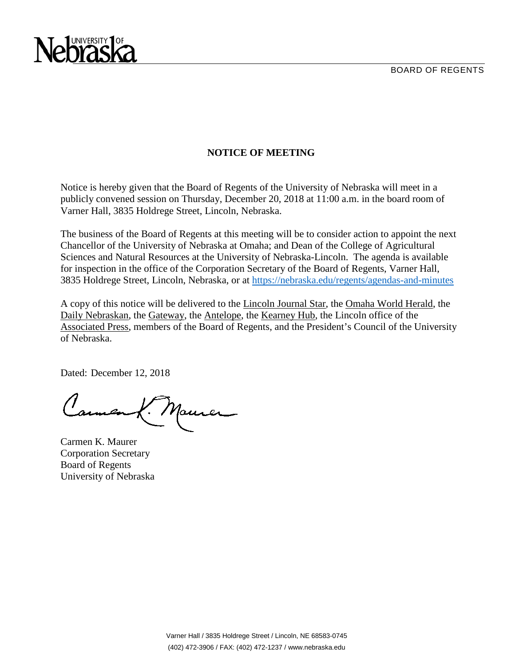

# **NOTICE OF MEETING**

Notice is hereby given that the Board of Regents of the University of Nebraska will meet in a publicly convened session on Thursday, December 20, 2018 at 11:00 a.m. in the board room of Varner Hall, 3835 Holdrege Street, Lincoln, Nebraska.

The business of the Board of Regents at this meeting will be to consider action to appoint the next Chancellor of the University of Nebraska at Omaha; and Dean of the College of Agricultural Sciences and Natural Resources at the University of Nebraska-Lincoln. The agenda is available for inspection in the office of the Corporation Secretary of the Board of Regents, Varner Hall, 3835 Holdrege Street, Lincoln, Nebraska, or at<https://nebraska.edu/regents/agendas-and-minutes>

A copy of this notice will be delivered to the Lincoln Journal Star, the Omaha World Herald, the Daily Nebraskan, the Gateway, the Antelope, the Kearney Hub, the Lincoln office of the Associated Press, members of the Board of Regents, and the President's Council of the University of Nebraska.

Dated: December 12, 2018

Maurer

Carmen K. Maurer Corporation Secretary Board of Regents University of Nebraska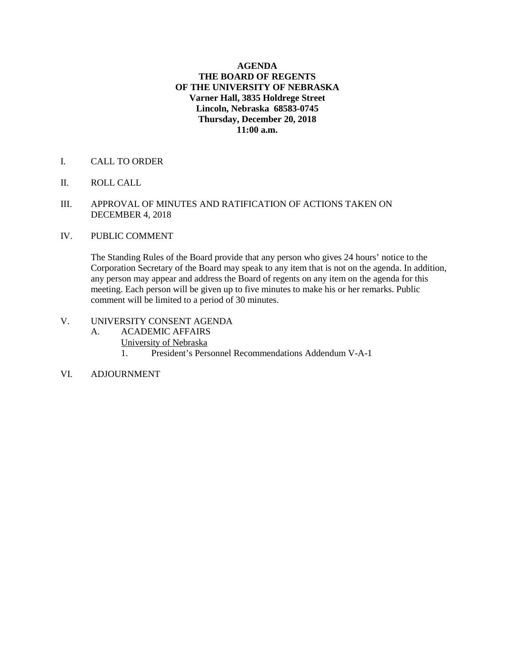# **AGENDA THE BOARD OF REGENTS OF THE UNIVERSITY OF NEBRASKA Varner Hall, 3835 Holdrege Street Lincoln, Nebraska 68583-0745 Thursday, December 20, 2018 11:00 a.m.**

## I. CALL TO ORDER

II. ROLL CALL

# III. APPROVAL OF MINUTES AND RATIFICATION OF ACTIONS TAKEN ON DECEMBER 4, 2018

## IV. PUBLIC COMMENT

The Standing Rules of the Board provide that any person who gives 24 hours' notice to the Corporation Secretary of the Board may speak to any item that is not on the agenda. In addition, any person may appear and address the Board of regents on any item on the agenda for this meeting. Each person will be given up to five minutes to make his or her remarks. Public comment will be limited to a period of 30 minutes.

#### V. UNIVERSITY CONSENT AGENDA

- A. ACADEMIC AFFAIRS
	- University of Nebraska
		- 1. President's Personnel Recommendations Addendum V-A-1

#### VI. ADJOURNMENT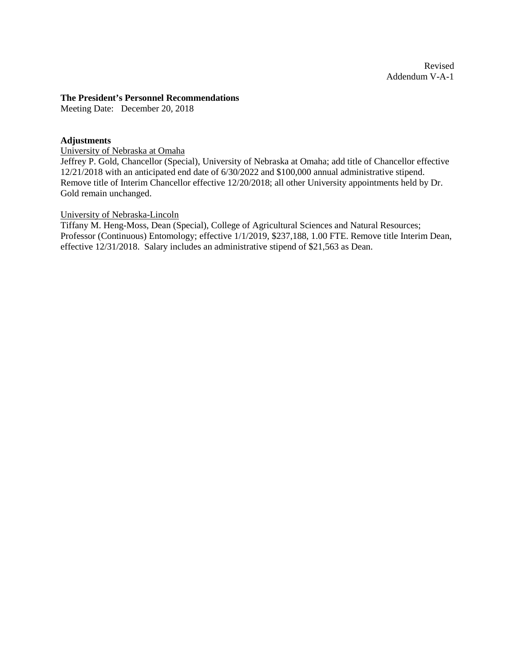#### **The President's Personnel Recommendations**

Meeting Date: December 20, 2018

### **Adjustments**

University of Nebraska at Omaha

Jeffrey P. Gold, Chancellor (Special), University of Nebraska at Omaha; add title of Chancellor effective 12/21/2018 with an anticipated end date of 6/30/2022 and \$100,000 annual administrative stipend. Remove title of Interim Chancellor effective 12/20/2018; all other University appointments held by Dr. Gold remain unchanged.

### University of Nebraska-Lincoln

Tiffany M. Heng-Moss, Dean (Special), College of Agricultural Sciences and Natural Resources; Professor (Continuous) Entomology; effective 1/1/2019, \$237,188, 1.00 FTE. Remove title Interim Dean, effective 12/31/2018. Salary includes an administrative stipend of \$21,563 as Dean.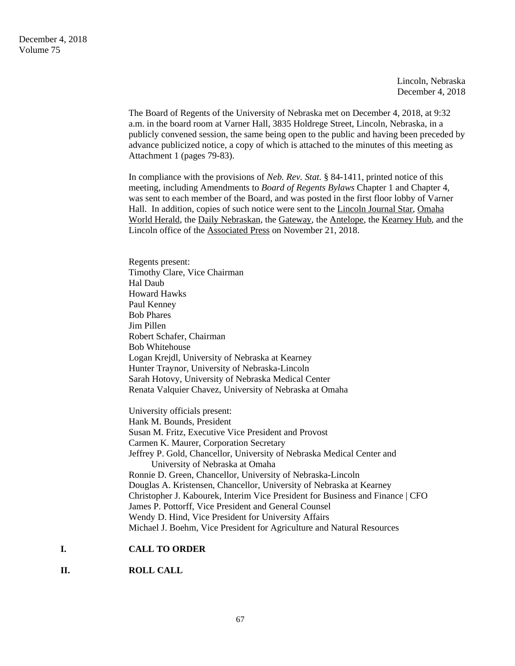Lincoln, Nebraska December 4, 2018

The Board of Regents of the University of Nebraska met on December 4, 2018, at 9:32 a.m. in the board room at Varner Hall, 3835 Holdrege Street, Lincoln, Nebraska, in a publicly convened session, the same being open to the public and having been preceded by advance publicized notice, a copy of which is attached to the minutes of this meeting as Attachment 1 (pages 79-83).

In compliance with the provisions of *Neb. Rev. Stat.* § 84-1411, printed notice of this meeting, including Amendments to *Board of Regents Bylaws* Chapter 1 and Chapter 4, was sent to each member of the Board, and was posted in the first floor lobby of Varner Hall. In addition, copies of such notice were sent to the Lincoln Journal Star, Omaha World Herald, the Daily Nebraskan, the Gateway, the Antelope, the Kearney Hub, and the Lincoln office of the Associated Press on November 21, 2018.

Regents present: Timothy Clare, Vice Chairman Hal Daub Howard Hawks Paul Kenney Bob Phares Jim Pillen Robert Schafer, Chairman Bob Whitehouse Logan Krejdl, University of Nebraska at Kearney Hunter Traynor, University of Nebraska-Lincoln Sarah Hotovy, University of Nebraska Medical Center Renata Valquier Chavez, University of Nebraska at Omaha University officials present: Hank M. Bounds, President Susan M. Fritz, Executive Vice President and Provost Carmen K. Maurer, Corporation Secretary Jeffrey P. Gold, Chancellor, University of Nebraska Medical Center and University of Nebraska at Omaha Ronnie D. Green, Chancellor, University of Nebraska-Lincoln Douglas A. Kristensen, Chancellor, University of Nebraska at Kearney

Christopher J. Kabourek, Interim Vice President for Business and Finance | CFO James P. Pottorff, Vice President and General Counsel

Wendy D. Hind, Vice President for University Affairs Michael J. Boehm, Vice President for Agriculture and Natural Resources

#### **I. CALL TO ORDER**

**II. ROLL CALL**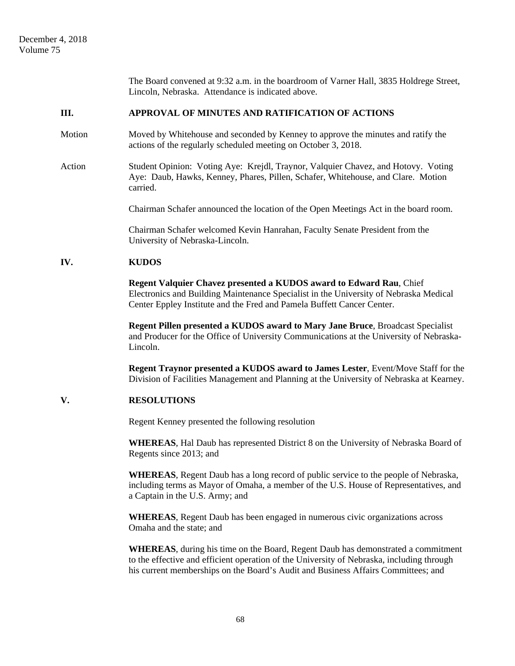|        | The Board convened at 9:32 a.m. in the boardroom of Varner Hall, 3835 Holdrege Street,<br>Lincoln, Nebraska. Attendance is indicated above.                                                                                            |
|--------|----------------------------------------------------------------------------------------------------------------------------------------------------------------------------------------------------------------------------------------|
| Ш.     | APPROVAL OF MINUTES AND RATIFICATION OF ACTIONS                                                                                                                                                                                        |
| Motion | Moved by Whitehouse and seconded by Kenney to approve the minutes and ratify the<br>actions of the regularly scheduled meeting on October 3, 2018.                                                                                     |
| Action | Student Opinion: Voting Aye: Krejdl, Traynor, Valquier Chavez, and Hotovy. Voting<br>Aye: Daub, Hawks, Kenney, Phares, Pillen, Schafer, Whitehouse, and Clare. Motion<br>carried.                                                      |
|        | Chairman Schafer announced the location of the Open Meetings Act in the board room.                                                                                                                                                    |
|        | Chairman Schafer welcomed Kevin Hanrahan, Faculty Senate President from the<br>University of Nebraska-Lincoln.                                                                                                                         |
| IV.    | <b>KUDOS</b>                                                                                                                                                                                                                           |
|        | Regent Valquier Chavez presented a KUDOS award to Edward Rau, Chief<br>Electronics and Building Maintenance Specialist in the University of Nebraska Medical<br>Center Eppley Institute and the Fred and Pamela Buffett Cancer Center. |
|        | Regent Pillen presented a KUDOS award to Mary Jane Bruce, Broadcast Specialist<br>and Producer for the Office of University Communications at the University of Nebraska-<br>Lincoln.                                                  |
|        | Regent Traynor presented a KUDOS award to James Lester, Event/Move Staff for the<br>Division of Facilities Management and Planning at the University of Nebraska at Kearney.                                                           |
| V.     | <b>RESOLUTIONS</b>                                                                                                                                                                                                                     |
|        | Regent Kenney presented the following resolution                                                                                                                                                                                       |
|        | <b>WHEREAS, Hal Daub has represented District 8 on the University of Nebraska Board of</b><br>Regents since 2013; and                                                                                                                  |
|        | <b>WHEREAS</b> , Regent Daub has a long record of public service to the people of Nebraska,<br>including terms as Mayor of Omaha, a member of the U.S. House of Representatives, and<br>a Captain in the U.S. Army; and                |
|        | <b>WHEREAS</b> , Regent Daub has been engaged in numerous civic organizations across<br>Omaha and the state; and                                                                                                                       |
|        | <b>WHEREAS</b> , during his time on the Board, Regent Daub has demonstrated a commitment<br>to the effective and efficient operation of the University of Nebraska, including through                                                  |

his current memberships on the Board's Audit and Business Affairs Committees; and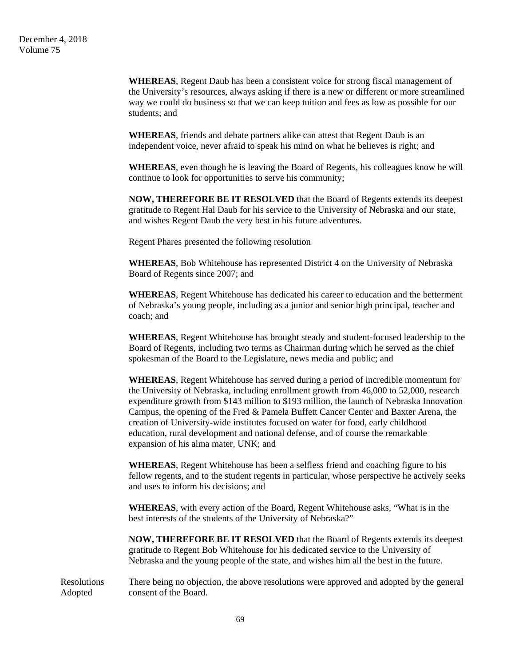**WHEREAS**, Regent Daub has been a consistent voice for strong fiscal management of the University's resources, always asking if there is a new or different or more streamlined way we could do business so that we can keep tuition and fees as low as possible for our students; and

**WHEREAS**, friends and debate partners alike can attest that Regent Daub is an independent voice, never afraid to speak his mind on what he believes is right; and

**WHEREAS**, even though he is leaving the Board of Regents, his colleagues know he will continue to look for opportunities to serve his community;

**NOW, THEREFORE BE IT RESOLVED** that the Board of Regents extends its deepest gratitude to Regent Hal Daub for his service to the University of Nebraska and our state, and wishes Regent Daub the very best in his future adventures.

Regent Phares presented the following resolution

**WHEREAS**, Bob Whitehouse has represented District 4 on the University of Nebraska Board of Regents since 2007; and

**WHEREAS**, Regent Whitehouse has dedicated his career to education and the betterment of Nebraska's young people, including as a junior and senior high principal, teacher and coach; and

**WHEREAS**, Regent Whitehouse has brought steady and student-focused leadership to the Board of Regents, including two terms as Chairman during which he served as the chief spokesman of the Board to the Legislature, news media and public; and

**WHEREAS**, Regent Whitehouse has served during a period of incredible momentum for the University of Nebraska, including enrollment growth from 46,000 to 52,000, research expenditure growth from \$143 million to \$193 million, the launch of Nebraska Innovation Campus, the opening of the Fred & Pamela Buffett Cancer Center and Baxter Arena, the creation of University-wide institutes focused on water for food, early childhood education, rural development and national defense, and of course the remarkable expansion of his alma mater, UNK; and

**WHEREAS**, Regent Whitehouse has been a selfless friend and coaching figure to his fellow regents, and to the student regents in particular, whose perspective he actively seeks and uses to inform his decisions; and

**WHEREAS**, with every action of the Board, Regent Whitehouse asks, "What is in the best interests of the students of the University of Nebraska?"

**NOW, THEREFORE BE IT RESOLVED** that the Board of Regents extends its deepest gratitude to Regent Bob Whitehouse for his dedicated service to the University of Nebraska and the young people of the state, and wishes him all the best in the future.

Resolutions There being no objection, the above resolutions were approved and adopted by the general Adopted consent of the Board.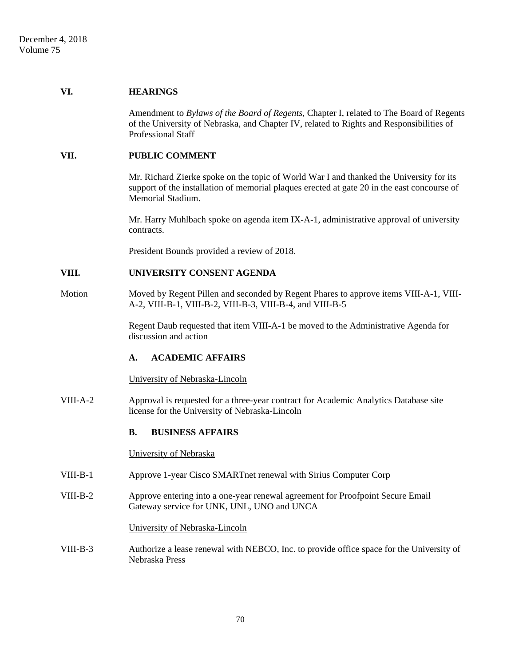### **VI. HEARINGS**

 Amendment to *Bylaws of the Board of Regents*, Chapter I, related to The Board of Regents of the University of Nebraska, and Chapter IV, related to Rights and Responsibilities of Professional Staff

### **VII. PUBLIC COMMENT**

 Mr. Richard Zierke spoke on the topic of World War I and thanked the University for its support of the installation of memorial plaques erected at gate 20 in the east concourse of Memorial Stadium.

 Mr. Harry Muhlbach spoke on agenda item IX-A-1, administrative approval of university contracts.

President Bounds provided a review of 2018.

# **VIII. UNIVERSITY CONSENT AGENDA**

Motion Moved by Regent Pillen and seconded by Regent Phares to approve items VIII-A-1, VIII-A-2, VIII-B-1, VIII-B-2, VIII-B-3, VIII-B-4, and VIII-B-5

> Regent Daub requested that item VIII-A-1 be moved to the Administrative Agenda for discussion and action

#### **A. ACADEMIC AFFAIRS**

University of Nebraska-Lincoln

VIII-A-2 Approval is requested for a three-year contract for Academic Analytics Database site license for the University of Nebraska-Lincoln

#### **B. BUSINESS AFFAIRS**

University of Nebraska

- VIII-B-1 Approve 1-year Cisco SMARTnet renewal with Sirius Computer Corp
- VIII-B-2 Approve entering into a one-year renewal agreement for Proofpoint Secure Email Gateway service for UNK, UNL, UNO and UNCA

University of Nebraska-Lincoln

VIII-B-3 Authorize a lease renewal with NEBCO, Inc. to provide office space for the University of Nebraska Press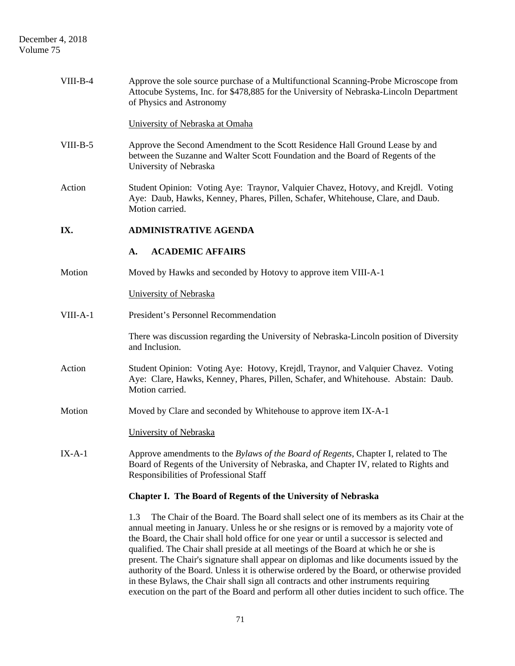| $VIII-B-4$ | Approve the sole source purchase of a Multifunctional Scanning-Probe Microscope from<br>Attocube Systems, Inc. for \$478,885 for the University of Nebraska-Lincoln Department<br>of Physics and Astronomy                                                                                                                                                                                                                                                               |
|------------|--------------------------------------------------------------------------------------------------------------------------------------------------------------------------------------------------------------------------------------------------------------------------------------------------------------------------------------------------------------------------------------------------------------------------------------------------------------------------|
|            | University of Nebraska at Omaha                                                                                                                                                                                                                                                                                                                                                                                                                                          |
| $VIII-B-5$ | Approve the Second Amendment to the Scott Residence Hall Ground Lease by and<br>between the Suzanne and Walter Scott Foundation and the Board of Regents of the<br>University of Nebraska                                                                                                                                                                                                                                                                                |
| Action     | Student Opinion: Voting Aye: Traynor, Valquier Chavez, Hotovy, and Krejdl. Voting<br>Aye: Daub, Hawks, Kenney, Phares, Pillen, Schafer, Whitehouse, Clare, and Daub.<br>Motion carried.                                                                                                                                                                                                                                                                                  |
| IX.        | <b>ADMINISTRATIVE AGENDA</b>                                                                                                                                                                                                                                                                                                                                                                                                                                             |
|            | <b>ACADEMIC AFFAIRS</b><br>A.                                                                                                                                                                                                                                                                                                                                                                                                                                            |
| Motion     | Moved by Hawks and seconded by Hotovy to approve item VIII-A-1                                                                                                                                                                                                                                                                                                                                                                                                           |
|            | University of Nebraska                                                                                                                                                                                                                                                                                                                                                                                                                                                   |
| VIII-A-1   | President's Personnel Recommendation                                                                                                                                                                                                                                                                                                                                                                                                                                     |
|            | There was discussion regarding the University of Nebraska-Lincoln position of Diversity<br>and Inclusion.                                                                                                                                                                                                                                                                                                                                                                |
| Action     | Student Opinion: Voting Aye: Hotovy, Krejdl, Traynor, and Valquier Chavez. Voting<br>Aye: Clare, Hawks, Kenney, Phares, Pillen, Schafer, and Whitehouse. Abstain: Daub.<br>Motion carried.                                                                                                                                                                                                                                                                               |
| Motion     | Moved by Clare and seconded by Whitehouse to approve item IX-A-1                                                                                                                                                                                                                                                                                                                                                                                                         |
|            | University of Nebraska                                                                                                                                                                                                                                                                                                                                                                                                                                                   |
| $IX-A-1$   | Approve amendments to the Bylaws of the Board of Regents, Chapter I, related to The<br>Board of Regents of the University of Nebraska, and Chapter IV, related to Rights and<br>Responsibilities of Professional Staff                                                                                                                                                                                                                                                   |
|            | Chapter I. The Board of Regents of the University of Nebraska                                                                                                                                                                                                                                                                                                                                                                                                            |
|            | The Chair of the Board. The Board shall select one of its members as its Chair at the<br>1.3<br>annual meeting in January. Unless he or she resigns or is removed by a majority vote of<br>the Board, the Chair shall hold office for one year or until a successor is selected and<br>qualified. The Chair shall preside at all meetings of the Board at which he or she is<br>present. The Chair's signature shall appear on diplomas and like documents issued by the |

authority of the Board. Unless it is otherwise ordered by the Board, or otherwise provided in these Bylaws, the Chair shall sign all contracts and other instruments requiring execution on the part of the Board and perform all other duties incident to such office. The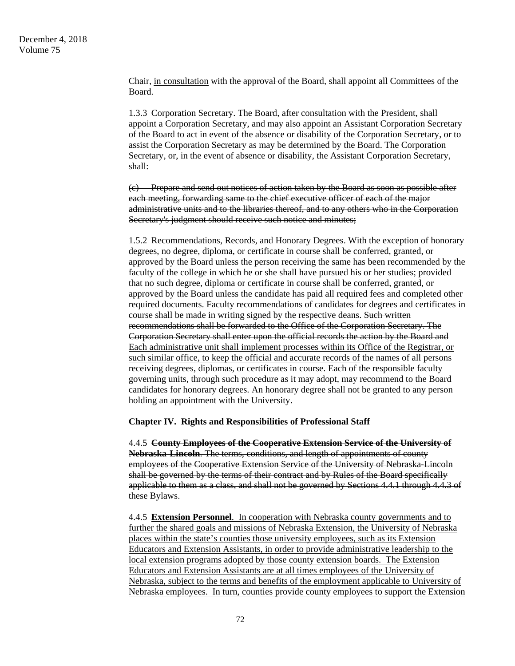Chair, in consultation with the approval of the Board, shall appoint all Committees of the Board.

 1.3.3 Corporation Secretary. The Board, after consultation with the President, shall appoint a Corporation Secretary, and may also appoint an Assistant Corporation Secretary of the Board to act in event of the absence or disability of the Corporation Secretary, or to assist the Corporation Secretary as may be determined by the Board. The Corporation Secretary, or, in the event of absence or disability, the Assistant Corporation Secretary, shall:

 (c) Prepare and send out notices of action taken by the Board as soon as possible after each meeting, forwarding same to the chief executive officer of each of the major administrative units and to the libraries thereof, and to any others who in the Corporation Secretary's judgment should receive such notice and minutes:

 1.5.2 Recommendations, Records, and Honorary Degrees. With the exception of honorary degrees, no degree, diploma, or certificate in course shall be conferred, granted, or approved by the Board unless the person receiving the same has been recommended by the faculty of the college in which he or she shall have pursued his or her studies; provided that no such degree, diploma or certificate in course shall be conferred, granted, or approved by the Board unless the candidate has paid all required fees and completed other required documents. Faculty recommendations of candidates for degrees and certificates in course shall be made in writing signed by the respective deans. Such written recommendations shall be forwarded to the Office of the Corporation Secretary. The Corporation Secretary shall enter upon the official records the action by the Board and Each administrative unit shall implement processes within its Office of the Registrar, or such similar office, to keep the official and accurate records of the names of all persons receiving degrees, diplomas, or certificates in course. Each of the responsible faculty governing units, through such procedure as it may adopt, may recommend to the Board candidates for honorary degrees. An honorary degree shall not be granted to any person holding an appointment with the University.

#### **Chapter IV. Rights and Responsibilities of Professional Staff**

 4.4.5 **County Employees of the Cooperative Extension Service of the University of Nebraska-Lincoln**. The terms, conditions, and length of appointments of county employees of the Cooperative Extension Service of the University of Nebraska-Lincoln shall be governed by the terms of their contract and by Rules of the Board specifically applicable to them as a class, and shall not be governed by Sections 4.4.1 through 4.4.3 of these Bylaws.

 4.4.5 **Extension Personnel**. In cooperation with Nebraska county governments and to further the shared goals and missions of Nebraska Extension, the University of Nebraska places within the state's counties those university employees, such as its Extension Educators and Extension Assistants, in order to provide administrative leadership to the local extension programs adopted by those county extension boards. The Extension Educators and Extension Assistants are at all times employees of the University of Nebraska, subject to the terms and benefits of the employment applicable to University of Nebraska employees. In turn, counties provide county employees to support the Extension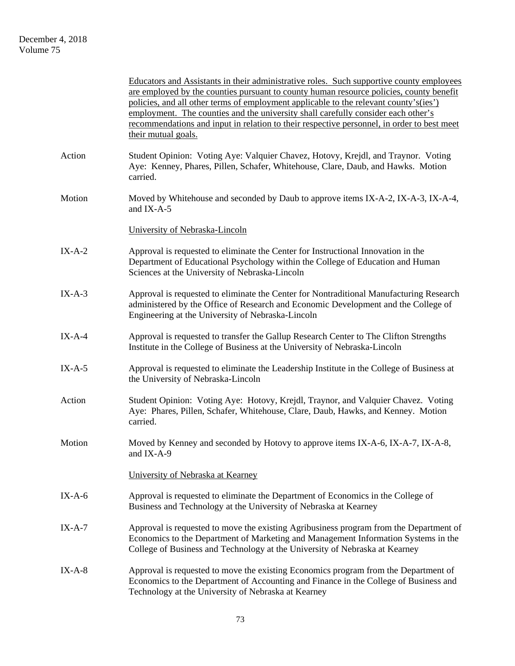# December 4, 2018 Volume 75

|          | Educators and Assistants in their administrative roles. Such supportive county employees<br>are employed by the counties pursuant to county human resource policies, county benefit<br>policies, and all other terms of employment applicable to the relevant county's(ies')<br>employment. The counties and the university shall carefully consider each other's<br>recommendations and input in relation to their respective personnel, in order to best meet<br>their mutual goals. |
|----------|----------------------------------------------------------------------------------------------------------------------------------------------------------------------------------------------------------------------------------------------------------------------------------------------------------------------------------------------------------------------------------------------------------------------------------------------------------------------------------------|
| Action   | Student Opinion: Voting Aye: Valquier Chavez, Hotovy, Krejdl, and Traynor. Voting<br>Aye: Kenney, Phares, Pillen, Schafer, Whitehouse, Clare, Daub, and Hawks. Motion<br>carried.                                                                                                                                                                                                                                                                                                      |
| Motion   | Moved by Whitehouse and seconded by Daub to approve items IX-A-2, IX-A-3, IX-A-4,<br>and IX-A-5                                                                                                                                                                                                                                                                                                                                                                                        |
|          | University of Nebraska-Lincoln                                                                                                                                                                                                                                                                                                                                                                                                                                                         |
| $IX-A-2$ | Approval is requested to eliminate the Center for Instructional Innovation in the<br>Department of Educational Psychology within the College of Education and Human<br>Sciences at the University of Nebraska-Lincoln                                                                                                                                                                                                                                                                  |
| $IX-A-3$ | Approval is requested to eliminate the Center for Nontraditional Manufacturing Research<br>administered by the Office of Research and Economic Development and the College of<br>Engineering at the University of Nebraska-Lincoln                                                                                                                                                                                                                                                     |
| $IX-A-4$ | Approval is requested to transfer the Gallup Research Center to The Clifton Strengths<br>Institute in the College of Business at the University of Nebraska-Lincoln                                                                                                                                                                                                                                                                                                                    |
| $IX-A-5$ | Approval is requested to eliminate the Leadership Institute in the College of Business at<br>the University of Nebraska-Lincoln                                                                                                                                                                                                                                                                                                                                                        |
| Action   | Student Opinion: Voting Aye: Hotovy, Krejdl, Traynor, and Valquier Chavez. Voting<br>Aye: Phares, Pillen, Schafer, Whitehouse, Clare, Daub, Hawks, and Kenney. Motion<br>carried.                                                                                                                                                                                                                                                                                                      |
| Motion   | Moved by Kenney and seconded by Hotovy to approve items IX-A-6, IX-A-7, IX-A-8,<br>and $IX-A-9$                                                                                                                                                                                                                                                                                                                                                                                        |
|          | University of Nebraska at Kearney                                                                                                                                                                                                                                                                                                                                                                                                                                                      |
| $IX-A-6$ | Approval is requested to eliminate the Department of Economics in the College of<br>Business and Technology at the University of Nebraska at Kearney                                                                                                                                                                                                                                                                                                                                   |
| $IX-A-7$ | Approval is requested to move the existing Agribusiness program from the Department of<br>Economics to the Department of Marketing and Management Information Systems in the<br>College of Business and Technology at the University of Nebraska at Kearney                                                                                                                                                                                                                            |
| $IX-A-8$ | Approval is requested to move the existing Economics program from the Department of<br>Economics to the Department of Accounting and Finance in the College of Business and<br>Technology at the University of Nebraska at Kearney                                                                                                                                                                                                                                                     |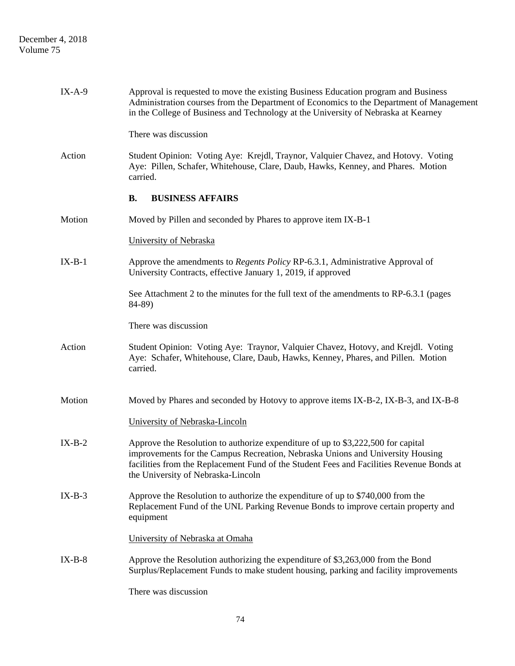| $IX-A-9$ | Approval is requested to move the existing Business Education program and Business<br>Administration courses from the Department of Economics to the Department of Management<br>in the College of Business and Technology at the University of Nebraska at Kearney                                  |
|----------|------------------------------------------------------------------------------------------------------------------------------------------------------------------------------------------------------------------------------------------------------------------------------------------------------|
|          | There was discussion                                                                                                                                                                                                                                                                                 |
| Action   | Student Opinion: Voting Aye: Krejdl, Traynor, Valquier Chavez, and Hotovy. Voting<br>Aye: Pillen, Schafer, Whitehouse, Clare, Daub, Hawks, Kenney, and Phares. Motion<br>carried.                                                                                                                    |
|          | <b>BUSINESS AFFAIRS</b><br><b>B.</b>                                                                                                                                                                                                                                                                 |
| Motion   | Moved by Pillen and seconded by Phares to approve item IX-B-1                                                                                                                                                                                                                                        |
|          | University of Nebraska                                                                                                                                                                                                                                                                               |
| $IX-B-1$ | Approve the amendments to <i>Regents Policy</i> RP-6.3.1, Administrative Approval of<br>University Contracts, effective January 1, 2019, if approved                                                                                                                                                 |
|          | See Attachment 2 to the minutes for the full text of the amendments to RP-6.3.1 (pages<br>84-89)                                                                                                                                                                                                     |
|          | There was discussion                                                                                                                                                                                                                                                                                 |
| Action   | Student Opinion: Voting Aye: Traynor, Valquier Chavez, Hotovy, and Krejdl. Voting<br>Aye: Schafer, Whitehouse, Clare, Daub, Hawks, Kenney, Phares, and Pillen. Motion<br>carried.                                                                                                                    |
| Motion   | Moved by Phares and seconded by Hotovy to approve items IX-B-2, IX-B-3, and IX-B-8                                                                                                                                                                                                                   |
|          | University of Nebraska-Lincoln                                                                                                                                                                                                                                                                       |
| $IX-B-2$ | Approve the Resolution to authorize expenditure of up to \$3,222,500 for capital<br>improvements for the Campus Recreation, Nebraska Unions and University Housing<br>facilities from the Replacement Fund of the Student Fees and Facilities Revenue Bonds at<br>the University of Nebraska-Lincoln |
| $IX-B-3$ | Approve the Resolution to authorize the expenditure of up to \$740,000 from the<br>Replacement Fund of the UNL Parking Revenue Bonds to improve certain property and<br>equipment                                                                                                                    |
|          | University of Nebraska at Omaha                                                                                                                                                                                                                                                                      |
| $IX-B-8$ | Approve the Resolution authorizing the expenditure of \$3,263,000 from the Bond<br>Surplus/Replacement Funds to make student housing, parking and facility improvements                                                                                                                              |
|          | There was discussion                                                                                                                                                                                                                                                                                 |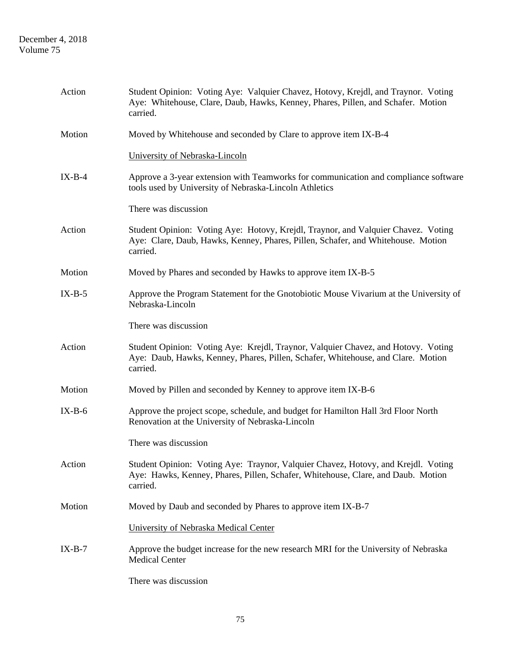| Action   | Student Opinion: Voting Aye: Valquier Chavez, Hotovy, Krejdl, and Traynor. Voting<br>Aye: Whitehouse, Clare, Daub, Hawks, Kenney, Phares, Pillen, and Schafer. Motion<br>carried. |
|----------|-----------------------------------------------------------------------------------------------------------------------------------------------------------------------------------|
| Motion   | Moved by Whitehouse and seconded by Clare to approve item IX-B-4                                                                                                                  |
|          | University of Nebraska-Lincoln                                                                                                                                                    |
| $IX-B-4$ | Approve a 3-year extension with Teamworks for communication and compliance software<br>tools used by University of Nebraska-Lincoln Athletics                                     |
|          | There was discussion                                                                                                                                                              |
| Action   | Student Opinion: Voting Aye: Hotovy, Krejdl, Traynor, and Valquier Chavez. Voting<br>Aye: Clare, Daub, Hawks, Kenney, Phares, Pillen, Schafer, and Whitehouse. Motion<br>carried. |
| Motion   | Moved by Phares and seconded by Hawks to approve item IX-B-5                                                                                                                      |
| $IX-B-5$ | Approve the Program Statement for the Gnotobiotic Mouse Vivarium at the University of<br>Nebraska-Lincoln                                                                         |
|          | There was discussion                                                                                                                                                              |
| Action   | Student Opinion: Voting Aye: Krejdl, Traynor, Valquier Chavez, and Hotovy. Voting<br>Aye: Daub, Hawks, Kenney, Phares, Pillen, Schafer, Whitehouse, and Clare. Motion<br>carried. |
| Motion   | Moved by Pillen and seconded by Kenney to approve item IX-B-6                                                                                                                     |
| $IX-B-6$ | Approve the project scope, schedule, and budget for Hamilton Hall 3rd Floor North<br>Renovation at the University of Nebraska-Lincoln                                             |
|          | There was discussion                                                                                                                                                              |
| Action   | Student Opinion: Voting Aye: Traynor, Valquier Chavez, Hotovy, and Krejdl. Voting<br>Aye: Hawks, Kenney, Phares, Pillen, Schafer, Whitehouse, Clare, and Daub. Motion<br>carried. |
| Motion   | Moved by Daub and seconded by Phares to approve item IX-B-7                                                                                                                       |
|          | University of Nebraska Medical Center                                                                                                                                             |
| $IX-B-7$ | Approve the budget increase for the new research MRI for the University of Nebraska<br><b>Medical Center</b>                                                                      |
|          | There was discussion                                                                                                                                                              |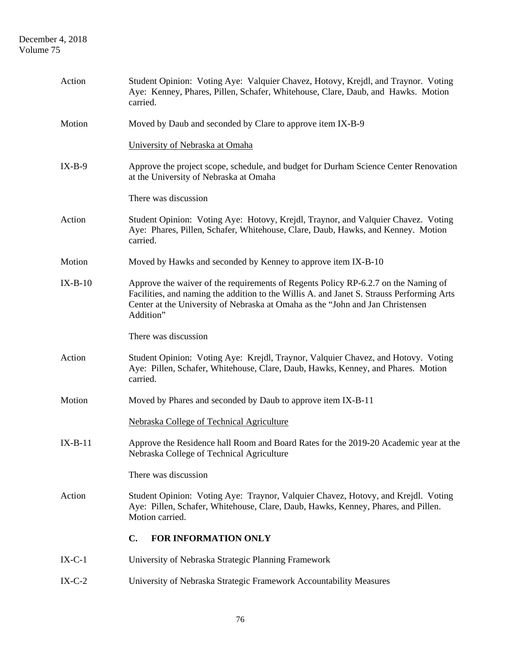# December 4, 2018 Volume 75

| Action    | Student Opinion: Voting Aye: Valquier Chavez, Hotovy, Krejdl, and Traynor. Voting<br>Aye: Kenney, Phares, Pillen, Schafer, Whitehouse, Clare, Daub, and Hawks. Motion<br>carried.                                                                                              |
|-----------|--------------------------------------------------------------------------------------------------------------------------------------------------------------------------------------------------------------------------------------------------------------------------------|
| Motion    | Moved by Daub and seconded by Clare to approve item IX-B-9                                                                                                                                                                                                                     |
|           | University of Nebraska at Omaha                                                                                                                                                                                                                                                |
| $IX-B-9$  | Approve the project scope, schedule, and budget for Durham Science Center Renovation<br>at the University of Nebraska at Omaha                                                                                                                                                 |
|           | There was discussion                                                                                                                                                                                                                                                           |
| Action    | Student Opinion: Voting Aye: Hotovy, Krejdl, Traynor, and Valquier Chavez. Voting<br>Aye: Phares, Pillen, Schafer, Whitehouse, Clare, Daub, Hawks, and Kenney. Motion<br>carried.                                                                                              |
| Motion    | Moved by Hawks and seconded by Kenney to approve item IX-B-10                                                                                                                                                                                                                  |
| $IX-B-10$ | Approve the waiver of the requirements of Regents Policy RP-6.2.7 on the Naming of<br>Facilities, and naming the addition to the Willis A. and Janet S. Strauss Performing Arts<br>Center at the University of Nebraska at Omaha as the "John and Jan Christensen<br>Addition" |
|           | There was discussion                                                                                                                                                                                                                                                           |
| Action    | Student Opinion: Voting Aye: Krejdl, Traynor, Valquier Chavez, and Hotovy. Voting<br>Aye: Pillen, Schafer, Whitehouse, Clare, Daub, Hawks, Kenney, and Phares. Motion<br>carried.                                                                                              |
| Motion    | Moved by Phares and seconded by Daub to approve item IX-B-11                                                                                                                                                                                                                   |
|           | Nebraska College of Technical Agriculture                                                                                                                                                                                                                                      |
| $IX-B-11$ | Approve the Residence hall Room and Board Rates for the 2019-20 Academic year at the<br>Nebraska College of Technical Agriculture                                                                                                                                              |
|           | There was discussion                                                                                                                                                                                                                                                           |
| Action    | Student Opinion: Voting Aye: Traynor, Valquier Chavez, Hotovy, and Krejdl. Voting<br>Aye: Pillen, Schafer, Whitehouse, Clare, Daub, Hawks, Kenney, Phares, and Pillen.<br>Motion carried.                                                                                      |
|           | C.<br>FOR INFORMATION ONLY                                                                                                                                                                                                                                                     |
| $IX-C-1$  | University of Nebraska Strategic Planning Framework                                                                                                                                                                                                                            |
| $IX-C-2$  | University of Nebraska Strategic Framework Accountability Measures                                                                                                                                                                                                             |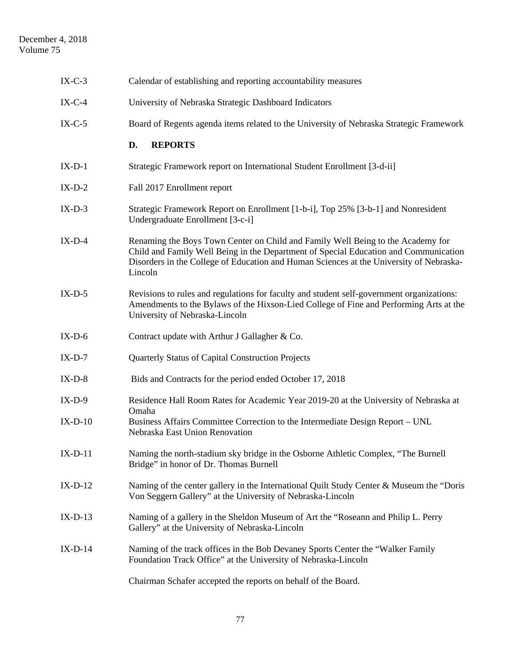| $IX-C-3$  | Calendar of establishing and reporting accountability measures                                                                                                                                                                                                                |  |
|-----------|-------------------------------------------------------------------------------------------------------------------------------------------------------------------------------------------------------------------------------------------------------------------------------|--|
| $IX-C-4$  | University of Nebraska Strategic Dashboard Indicators                                                                                                                                                                                                                         |  |
| $IX-C-5$  | Board of Regents agenda items related to the University of Nebraska Strategic Framework                                                                                                                                                                                       |  |
|           | <b>REPORTS</b><br>D.                                                                                                                                                                                                                                                          |  |
| $IX-D-1$  | Strategic Framework report on International Student Enrollment [3-d-ii]                                                                                                                                                                                                       |  |
| $IX-D-2$  | Fall 2017 Enrollment report                                                                                                                                                                                                                                                   |  |
| $IX-D-3$  | Strategic Framework Report on Enrollment [1-b-i], Top 25% [3-b-1] and Nonresident<br>Undergraduate Enrollment [3-c-i]                                                                                                                                                         |  |
| $IX-D-4$  | Renaming the Boys Town Center on Child and Family Well Being to the Academy for<br>Child and Family Well Being in the Department of Special Education and Communication<br>Disorders in the College of Education and Human Sciences at the University of Nebraska-<br>Lincoln |  |
| $IX-D-5$  | Revisions to rules and regulations for faculty and student self-government organizations:<br>Amendments to the Bylaws of the Hixson-Lied College of Fine and Performing Arts at the<br>University of Nebraska-Lincoln                                                         |  |
| $IX-D-6$  | Contract update with Arthur J Gallagher & Co.                                                                                                                                                                                                                                 |  |
| $IX-D-7$  | Quarterly Status of Capital Construction Projects                                                                                                                                                                                                                             |  |
| $IX-D-8$  | Bids and Contracts for the period ended October 17, 2018                                                                                                                                                                                                                      |  |
| $IX-D-9$  | Residence Hall Room Rates for Academic Year 2019-20 at the University of Nebraska at<br>Omaha                                                                                                                                                                                 |  |
| $IX-D-10$ | Business Affairs Committee Correction to the Intermediate Design Report - UNL<br>Nebraska East Union Renovation                                                                                                                                                               |  |
| $IX-D-11$ | Naming the north-stadium sky bridge in the Osborne Athletic Complex, "The Burnell<br>Bridge" in honor of Dr. Thomas Burnell                                                                                                                                                   |  |
| $IX-D-12$ | Naming of the center gallery in the International Quilt Study Center & Museum the "Doris"<br>Von Seggern Gallery" at the University of Nebraska-Lincoln                                                                                                                       |  |
| $IX-D-13$ | Naming of a gallery in the Sheldon Museum of Art the "Roseann and Philip L. Perry<br>Gallery" at the University of Nebraska-Lincoln                                                                                                                                           |  |
| $IX-D-14$ | Naming of the track offices in the Bob Devaney Sports Center the "Walker Family"<br>Foundation Track Office" at the University of Nebraska-Lincoln                                                                                                                            |  |
|           | Chairman Schafer accepted the reports on behalf of the Board.                                                                                                                                                                                                                 |  |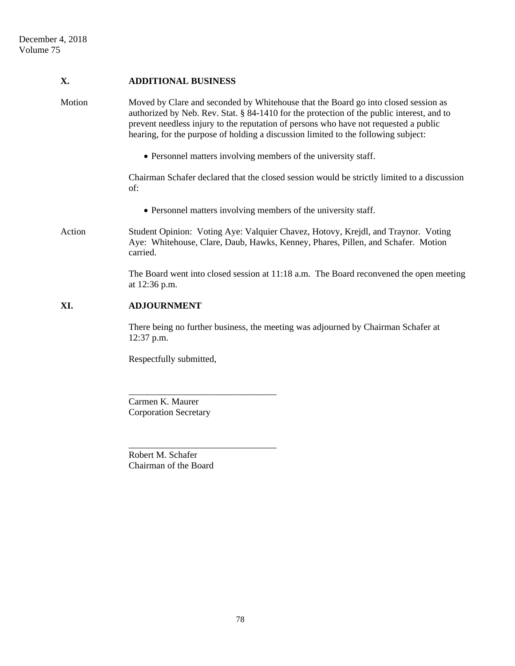| X.     | <b>ADDITIONAL BUSINESS</b>                                                                                                                                                                                                                                                                                                                                    |
|--------|---------------------------------------------------------------------------------------------------------------------------------------------------------------------------------------------------------------------------------------------------------------------------------------------------------------------------------------------------------------|
| Motion | Moved by Clare and seconded by Whitehouse that the Board go into closed session as<br>authorized by Neb. Rev. Stat. § 84-1410 for the protection of the public interest, and to<br>prevent needless injury to the reputation of persons who have not requested a public<br>hearing, for the purpose of holding a discussion limited to the following subject: |
|        | • Personnel matters involving members of the university staff.                                                                                                                                                                                                                                                                                                |
|        | Chairman Schafer declared that the closed session would be strictly limited to a discussion<br>of:                                                                                                                                                                                                                                                            |
|        | • Personnel matters involving members of the university staff.                                                                                                                                                                                                                                                                                                |
| Action | Student Opinion: Voting Aye: Valquier Chavez, Hotovy, Krejdl, and Traynor. Voting<br>Aye: Whitehouse, Clare, Daub, Hawks, Kenney, Phares, Pillen, and Schafer. Motion<br>carried.                                                                                                                                                                             |
|        | The Board went into closed session at 11:18 a.m. The Board reconvened the open meeting<br>at 12:36 p.m.                                                                                                                                                                                                                                                       |
| XI.    | <b>ADJOURNMENT</b>                                                                                                                                                                                                                                                                                                                                            |
|        | There being no further business, the meeting was adjourned by Chairman Schafer at<br>12:37 p.m.                                                                                                                                                                                                                                                               |
|        | Respectfully submitted,                                                                                                                                                                                                                                                                                                                                       |
|        | Carmen K. Maurer                                                                                                                                                                                                                                                                                                                                              |
|        | <b>Corporation Secretary</b>                                                                                                                                                                                                                                                                                                                                  |
|        |                                                                                                                                                                                                                                                                                                                                                               |

Robert M. Schafer Chairman of the Board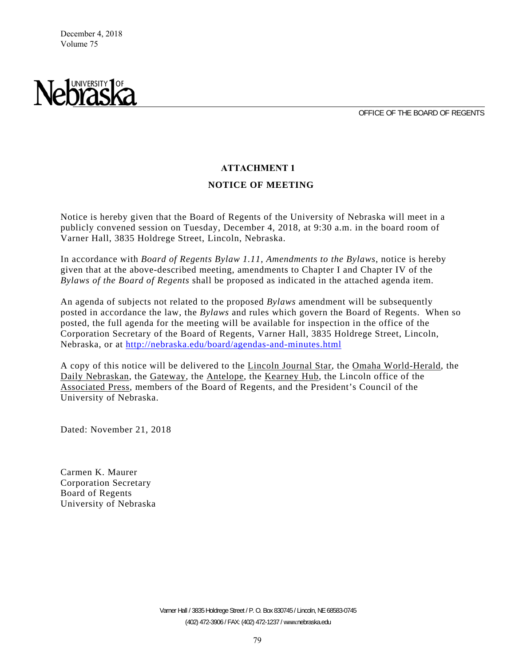OFFICE OF THE BOARD OF REGENTS

# **ATTACHMENT 1**

# **NOTICE OF MEETING**

Notice is hereby given that the Board of Regents of the University of Nebraska will meet in a publicly convened session on Tuesday, December 4, 2018, at 9:30 a.m. in the board room of Varner Hall, 3835 Holdrege Street, Lincoln, Nebraska.

In accordance with *Board of Regents Bylaw 1.11, Amendments to the Bylaws*, notice is hereby given that at the above-described meeting, amendments to Chapter I and Chapter IV of the *Bylaws of the Board of Regents* shall be proposed as indicated in the attached agenda item.

An agenda of subjects not related to the proposed *Bylaws* amendment will be subsequently posted in accordance the law, the *Bylaws* and rules which govern the Board of Regents. When so posted, the full agenda for the meeting will be available for inspection in the office of the Corporation Secretary of the Board of Regents, Varner Hall, 3835 Holdrege Street, Lincoln, Nebraska, or at http://nebraska.edu/board/agendas-and-minutes.html

A copy of this notice will be delivered to the Lincoln Journal Star, the Omaha World-Herald, the Daily Nebraskan, the Gateway, the Antelope, the Kearney Hub, the Lincoln office of the Associated Press, members of the Board of Regents, and the President's Council of the University of Nebraska.

Dated: November 21, 2018

Carmen K. Maurer Corporation Secretary Board of Regents University of Nebraska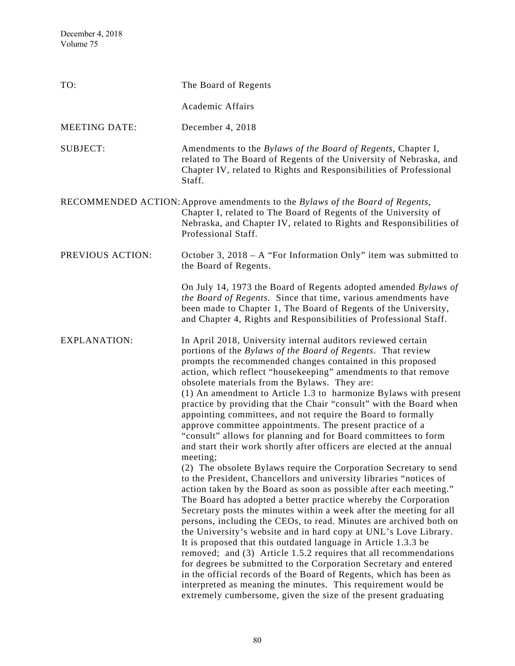| TO:                  | The Board of Regents                                                                                                                                                                                                                                                                                                                                                                                                                                                                                                                                                                                                                                                                                                                                                                                                                                                                                                                                                                                                                                                                                                                                                                                                                                                                                                                                                                                                                                                                                                                                                                                                                                                |
|----------------------|---------------------------------------------------------------------------------------------------------------------------------------------------------------------------------------------------------------------------------------------------------------------------------------------------------------------------------------------------------------------------------------------------------------------------------------------------------------------------------------------------------------------------------------------------------------------------------------------------------------------------------------------------------------------------------------------------------------------------------------------------------------------------------------------------------------------------------------------------------------------------------------------------------------------------------------------------------------------------------------------------------------------------------------------------------------------------------------------------------------------------------------------------------------------------------------------------------------------------------------------------------------------------------------------------------------------------------------------------------------------------------------------------------------------------------------------------------------------------------------------------------------------------------------------------------------------------------------------------------------------------------------------------------------------|
|                      | Academic Affairs                                                                                                                                                                                                                                                                                                                                                                                                                                                                                                                                                                                                                                                                                                                                                                                                                                                                                                                                                                                                                                                                                                                                                                                                                                                                                                                                                                                                                                                                                                                                                                                                                                                    |
| <b>MEETING DATE:</b> | December 4, 2018                                                                                                                                                                                                                                                                                                                                                                                                                                                                                                                                                                                                                                                                                                                                                                                                                                                                                                                                                                                                                                                                                                                                                                                                                                                                                                                                                                                                                                                                                                                                                                                                                                                    |
| <b>SUBJECT:</b>      | Amendments to the Bylaws of the Board of Regents, Chapter I,<br>related to The Board of Regents of the University of Nebraska, and<br>Chapter IV, related to Rights and Responsibilities of Professional<br>Staff.                                                                                                                                                                                                                                                                                                                                                                                                                                                                                                                                                                                                                                                                                                                                                                                                                                                                                                                                                                                                                                                                                                                                                                                                                                                                                                                                                                                                                                                  |
|                      | RECOMMENDED ACTION: Approve amendments to the Bylaws of the Board of Regents,<br>Chapter I, related to The Board of Regents of the University of<br>Nebraska, and Chapter IV, related to Rights and Responsibilities of<br>Professional Staff.                                                                                                                                                                                                                                                                                                                                                                                                                                                                                                                                                                                                                                                                                                                                                                                                                                                                                                                                                                                                                                                                                                                                                                                                                                                                                                                                                                                                                      |
| PREVIOUS ACTION:     | October 3, 2018 – A "For Information Only" item was submitted to<br>the Board of Regents.                                                                                                                                                                                                                                                                                                                                                                                                                                                                                                                                                                                                                                                                                                                                                                                                                                                                                                                                                                                                                                                                                                                                                                                                                                                                                                                                                                                                                                                                                                                                                                           |
|                      | On July 14, 1973 the Board of Regents adopted amended Bylaws of<br>the Board of Regents. Since that time, various amendments have<br>been made to Chapter 1, The Board of Regents of the University,<br>and Chapter 4, Rights and Responsibilities of Professional Staff.                                                                                                                                                                                                                                                                                                                                                                                                                                                                                                                                                                                                                                                                                                                                                                                                                                                                                                                                                                                                                                                                                                                                                                                                                                                                                                                                                                                           |
| <b>EXPLANATION:</b>  | In April 2018, University internal auditors reviewed certain<br>portions of the Bylaws of the Board of Regents. That review<br>prompts the recommended changes contained in this proposed<br>action, which reflect "housekeeping" amendments to that remove<br>obsolete materials from the Bylaws. They are:<br>(1) An amendment to Article 1.3 to harmonize Bylaws with present<br>practice by providing that the Chair "consult" with the Board when<br>appointing committees, and not require the Board to formally<br>approve committee appointments. The present practice of a<br>"consult" allows for planning and for Board committees to form<br>and start their work shortly after officers are elected at the annual<br>meeting;<br>(2) The obsolete Bylaws require the Corporation Secretary to send<br>to the President, Chancellors and university libraries "notices of<br>action taken by the Board as soon as possible after each meeting."<br>The Board has adopted a better practice whereby the Corporation<br>Secretary posts the minutes within a week after the meeting for all<br>persons, including the CEOs, to read. Minutes are archived both on<br>the University's website and in hard copy at UNL's Love Library.<br>It is proposed that this outdated language in Article 1.3.3 be<br>removed; and (3) Article 1.5.2 requires that all recommendations<br>for degrees be submitted to the Corporation Secretary and entered<br>in the official records of the Board of Regents, which has been as<br>interpreted as meaning the minutes. This requirement would be<br>extremely cumbersome, given the size of the present graduating |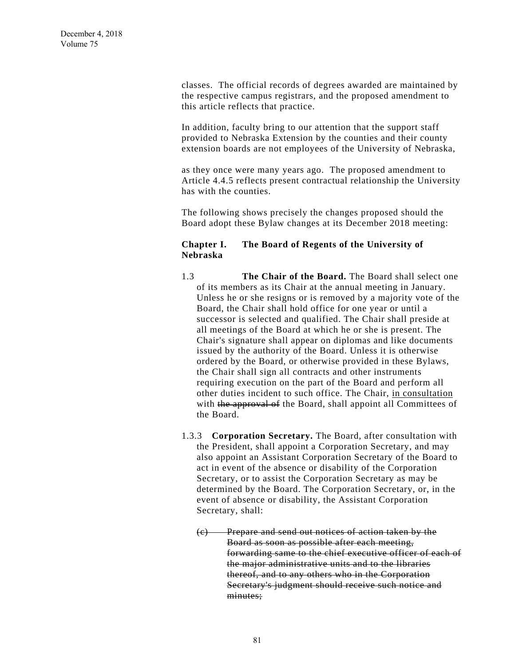classes. The official records of degrees awarded are maintained by the respective campus registrars, and the proposed amendment to this article reflects that practice.

In addition, faculty bring to our attention that the support staff provided to Nebraska Extension by the counties and their county extension boards are not employees of the University of Nebraska,

as they once were many years ago. The proposed amendment to Article 4.4.5 reflects present contractual relationship the University has with the counties.

The following shows precisely the changes proposed should the Board adopt these Bylaw changes at its December 2018 meeting:

# **Chapter I. The Board of Regents of the University of Nebraska**

- 1.3 **The Chair of the Board.** The Board shall select one of its members as its Chair at the annual meeting in January. Unless he or she resigns or is removed by a majority vote of the Board, the Chair shall hold office for one year or until a successor is selected and qualified. The Chair shall preside at all meetings of the Board at which he or she is present. The Chair's signature shall appear on diplomas and like documents issued by the authority of the Board. Unless it is otherwise ordered by the Board, or otherwise provided in these Bylaws, the Chair shall sign all contracts and other instruments requiring execution on the part of the Board and perform all other duties incident to such office. The Chair, in consultation with the approval of the Board, shall appoint all Committees of the Board.
- 1.3.3 **Corporation Secretary.** The Board, after consultation with the President, shall appoint a Corporation Secretary, and may also appoint an Assistant Corporation Secretary of the Board to act in event of the absence or disability of the Corporation Secretary, or to assist the Corporation Secretary as may be determined by the Board. The Corporation Secretary, or, in the event of absence or disability, the Assistant Corporation Secretary, shall:
	- (c) Prepare and send out notices of action taken by the Board as soon as possible after each meeting, forwarding same to the chief executive officer of each of the major administrative units and to the libraries thereof, and to any others who in the Corporation Secretary's judgment should receive such notice and minutes: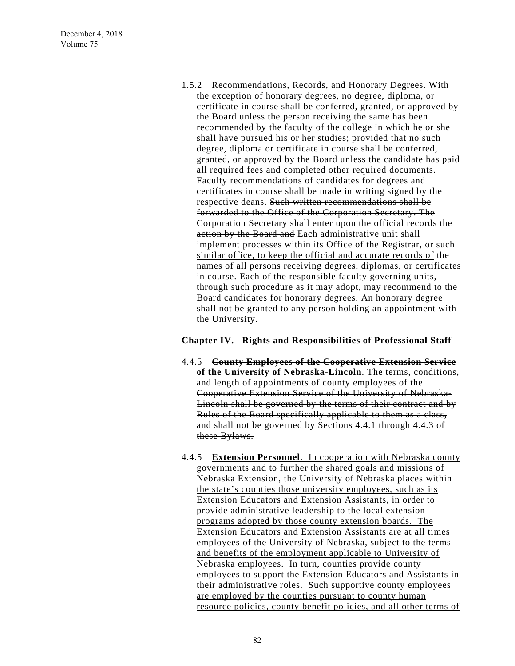1.5.2 Recommendations, Records, and Honorary Degrees. With the exception of honorary degrees, no degree, diploma, or certificate in course shall be conferred, granted, or approved by the Board unless the person receiving the same has been recommended by the faculty of the college in which he or she shall have pursued his or her studies; provided that no such degree, diploma or certificate in course shall be conferred, granted, or approved by the Board unless the candidate has paid all required fees and completed other required documents. Faculty recommendations of candidates for degrees and certificates in course shall be made in writing signed by the respective deans. Such written recommendations shall be forwarded to the Office of the Corporation Secretary. The Corporation Secretary shall enter upon the official records the action by the Board and Each administrative unit shall implement processes within its Office of the Registrar, or such similar office, to keep the official and accurate records of the names of all persons receiving degrees, diplomas, or certificates in course. Each of the responsible faculty governing units, through such procedure as it may adopt, may recommend to the Board candidates for honorary degrees. An honorary degree shall not be granted to any person holding an appointment with the University.

## **Chapter IV. Rights and Responsibilities of Professional Staff**

- 4.4.5 **County Employees of the Cooperative Extension Service of the University of Nebraska-Lincoln**. The terms, conditions, and length of appointments of county employees of the Cooperative Extension Service of the University of Nebraska-Lincoln shall be governed by the terms of their contract and by Rules of the Board specifically applicable to them as a class, and shall not be governed by Sections 4.4.1 through 4.4.3 of these Bylaws.
- 4.4.5 **Extension Personnel**. In cooperation with Nebraska county governments and to further the shared goals and missions of Nebraska Extension, the University of Nebraska places within the state's counties those university employees, such as its Extension Educators and Extension Assistants, in order to provide administrative leadership to the local extension programs adopted by those county extension boards. The Extension Educators and Extension Assistants are at all times employees of the University of Nebraska, subject to the terms and benefits of the employment applicable to University of Nebraska employees. In turn, counties provide county employees to support the Extension Educators and Assistants in their administrative roles. Such supportive county employees are employed by the counties pursuant to county human resource policies, county benefit policies, and all other terms of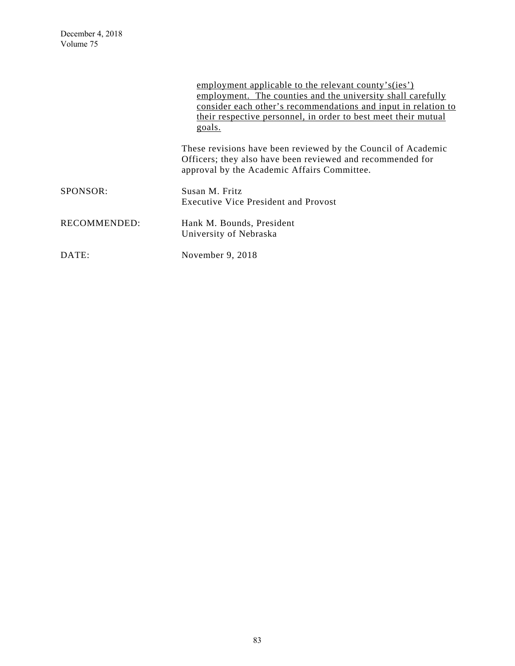|              | employment applicable to the relevant county's(ies')                                                                                                                       |
|--------------|----------------------------------------------------------------------------------------------------------------------------------------------------------------------------|
|              | employment. The counties and the university shall carefully                                                                                                                |
|              | consider each other's recommendations and input in relation to                                                                                                             |
|              | their respective personnel, in order to best meet their mutual                                                                                                             |
|              | goals.                                                                                                                                                                     |
|              | These revisions have been reviewed by the Council of Academic<br>Officers; they also have been reviewed and recommended for<br>approval by the Academic Affairs Committee. |
| SPONSOR:     | Susan M. Fritz                                                                                                                                                             |
|              | Executive Vice President and Provost                                                                                                                                       |
| RECOMMENDED: | Hank M. Bounds, President<br>University of Nebraska                                                                                                                        |
| DATE:        | November 9, 2018                                                                                                                                                           |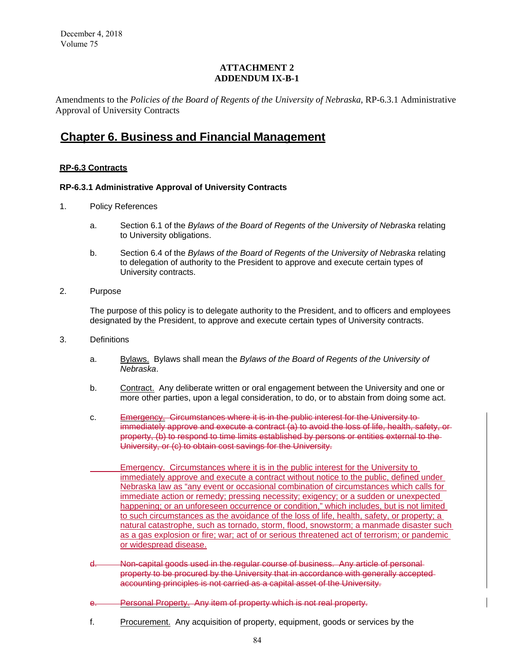# **ATTACHMENT 2 ADDENDUM IX-B-1**

Amendments to the *Policies of the Board of Regents of the University of Nebraska*, RP-6.3.1 Administrative Approval of University Contracts

# **Chapter 6. Business and Financial Management**

#### **RP-6.3 Contracts**

#### **RP-6.3.1 Administrative Approval of University Contracts**

- 1. Policy References
	- a. Section 6.1 of the *Bylaws of the Board of Regents of the University of Nebraska* relating to University obligations.
	- b. Section 6.4 of the *Bylaws of the Board of Regents of the University of Nebraska* relating to delegation of authority to the President to approve and execute certain types of University contracts.
- 2. Purpose

The purpose of this policy is to delegate authority to the President, and to officers and employees designated by the President, to approve and execute certain types of University contracts.

- 3. Definitions
	- a. Bylaws. Bylaws shall mean the *Bylaws of the Board of Regents of the University of Nebraska*.
	- b. Contract. Any deliberate written or oral engagement between the University and one or more other parties, upon a legal consideration, to do, or to abstain from doing some act.
	- c. Emergency. Circumstances where it is in the public interest for the University to immediately approve and execute a contract (a) to avoid the loss of life, health, safety, or property, (b) to respond to time limits established by persons or entities external to the University, or (c) to obtain cost savings for the University.
		- Emergency. Circumstances where it is in the public interest for the University to immediately approve and execute a contract without notice to the public, defined under Nebraska law as "any event or occasional combination of circumstances which calls for immediate action or remedy; pressing necessity; exigency; or a sudden or unexpected happening; or an unforeseen occurrence or condition," which includes, but is not limited to such circumstances as the avoidance of the loss of life, health, safety, or property; a natural catastrophe, such as tornado, storm, flood, snowstorm; a manmade disaster such as a gas explosion or fire; war; act of or serious threatened act of terrorism; or pandemic or widespread disease.
	- d. Non-capital goods used in the regular course of business. Any article of personal property to be procured by the University that in accordance with generally accepted accounting principles is not carried as a capital asset of the University.
	- Personal Property. Any item of property which is not real property.
	- f. Procurement. Any acquisition of property, equipment, goods or services by the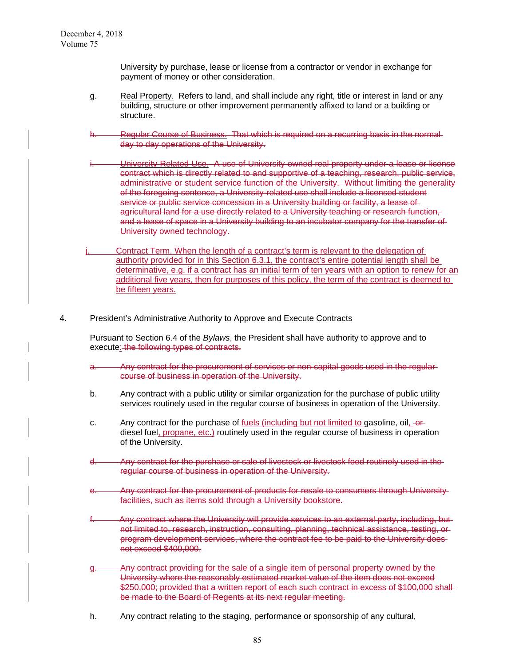University by purchase, lease or license from a contractor or vendor in exchange for payment of money or other consideration.

- g. Real Property. Refers to land, and shall include any right, title or interest in land or any building, structure or other improvement permanently affixed to land or a building or structure.
- Regular Course of Business. That which is required on a recurring basis in the normalday to day operations of the University.
- University-Related Use. A use of University owned real property under a lease or license contract which is directly related to and supportive of a teaching, research, public service, administrative or student service function of the University. Without limiting the generality of the foregoing sentence, a University-related use shall include a licensed student service or public service concession in a University building or facility, a lease of agricultural land for a use directly related to a University teaching or research function, and a lease of space in a University building to an incubator company for the transfer of University owned technology.
- Contract Term. When the length of a contract's term is relevant to the delegation of authority provided for in this Section 6.3.1, the contract's entire potential length shall be determinative, e.g. if a contract has an initial term of ten years with an option to renew for an additional five years, then for purposes of this policy, the term of the contract is deemed to be fifteen years.
- 4. President's Administrative Authority to Approve and Execute Contracts

Pursuant to Section 6.4 of the *Bylaws*, the President shall have authority to approve and to execute: the following types of contracts.

- a. Any contract for the procurement of services or non-capital goods used in the regular course of business in operation of the University.
- b. Any contract with a public utility or similar organization for the purchase of public utility services routinely used in the regular course of business in operation of the University.
- c. Any contract for the purchase of fuels (including but not limited to gasoline, oil, -odiesel fuel, propane, etc.) routinely used in the regular course of business in operation of the University.
- d. Any contract for the purchase or sale of livestock or livestock feed routinely used in the regular course of business in operation of the University.
- Any contract for the procurement of products for resale to consumers through University facilities, such as items sold through a University bookstore.
- f. Any contract where the University will provide services to an external party, including, but not limited to, research, instruction, consulting, planning, technical assistance, testing, or program development services, where the contract fee to be paid to the University does not exceed \$400,000.
- g. Any contract providing for the sale of a single item of personal property owned by the University where the reasonably estimated market value of the item does not exceed \$250,000; provided that a written report of each such contract in excess of \$100,000 shallbe made to the Board of Regents at its next regular meeting.
- h. Any contract relating to the staging, performance or sponsorship of any cultural,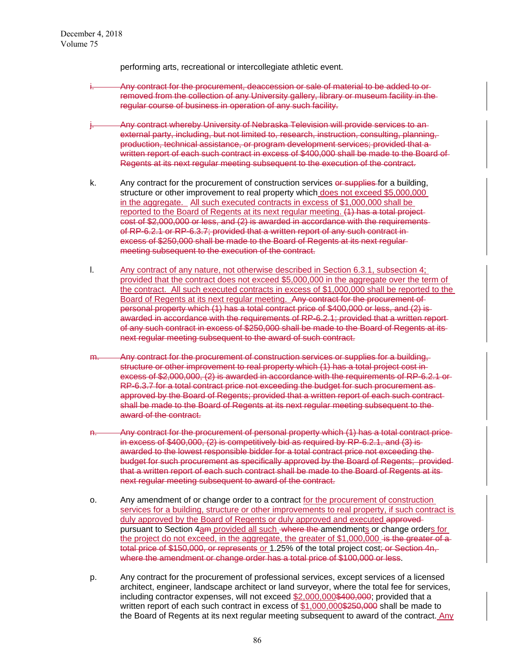performing arts, recreational or intercollegiate athletic event.

- Any contract for the procurement, deaccession or sale of material to be added to orremoved from the collection of any University gallery, library or museum facility in the regular course of business in operation of any such facility.
- Any contract whereby University of Nebraska Television will provide services to anexternal party, including, but not limited to, research, instruction, consulting, planning, production, technical assistance, or program development services; provided that a written report of each such contract in excess of \$400,000 shall be made to the Board of Regents at its next regular meeting subsequent to the execution of the contract.
- k. Any contract for the procurement of construction services or supplies for a building, structure or other improvement to real property which does not exceed \$5,000,000 in the aggregate. All such executed contracts in excess of \$1,000,000 shall be reported to the Board of Regents at its next regular meeting. (1) has a total projectcost of \$2,000,000 or less, and (2) is awarded in accordance with the requirements of RP-6.2.1 or RP-6.3.7; provided that a written report of any such contract in excess of \$250,000 shall be made to the Board of Regents at its next regular meeting subsequent to the execution of the contract.
- l. Any contract of any nature, not otherwise described in Section 6.3.1, subsection 4; provided that the contract does not exceed \$5,000,000 in the aggregate over the term of the contract. All such executed contracts in excess of \$1,000,000 shall be reported to the Board of Regents at its next regular meeting. Any contract for the procurement of personal property which (1) has a total contract price of \$400,000 or less, and (2) is awarded in accordance with the requirements of RP-6.2.1; provided that a written report of any such contract in excess of \$250,000 shall be made to the Board of Regents at its next regular meeting subsequent to the award of such contract.
- m. Any contract for the procurement of construction services or supplies for a building, structure or other improvement to real property which (1) has a total project cost in excess of \$2,000,000, (2) is awarded in accordance with the requirements of RP-6.2.1 or RP-6.3.7 for a total contract price not exceeding the budget for such procurement as approved by the Board of Regents; provided that a written report of each such contract shall be made to the Board of Regents at its next regular meeting subsequent to the award of the contract.
- Any contract for the procurement of personal property which (1) has a total contract price in excess of \$400,000, (2) is competitively bid as required by RP-6.2.1, and (3) is awarded to the lowest responsible bidder for a total contract price not exceeding the budget for such procurement as specifically approved by the Board of Regents; provided that a written report of each such contract shall be made to the Board of Regents at its next regular meeting subsequent to award of the contract.
- o. Any amendment of or change order to a contract for the procurement of construction services for a building, structure or other improvements to real property, if such contract is duly approved by the Board of Regents or duly approved and executed approved pursuant to Section 4am provided all such where the amendments or change orders for the project do not exceed, in the aggregate, the greater of  $$1,000,000$  is the greater of a total price of \$150,000, or represents or 1.25% of the total project cost; or Section 4n, where the amendment or change order has a total price of \$100,000 or less.
- p. Any contract for the procurement of professional services, except services of a licensed architect, engineer, landscape architect or land surveyor, where the total fee for services, including contractor expenses, will not exceed \$2,000,000\$400,000; provided that a written report of each such contract in excess of \$1,000,000\$250,000 shall be made to the Board of Regents at its next regular meeting subsequent to award of the contract. Any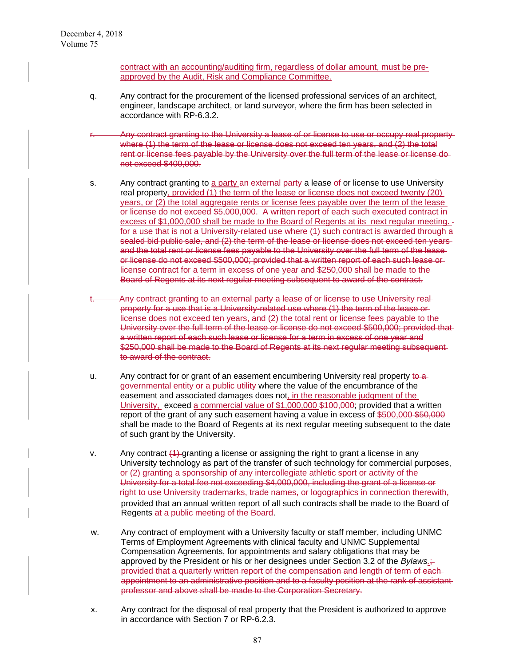contract with an accounting/auditing firm, regardless of dollar amount, must be preapproved by the Audit, Risk and Compliance Committee.

- q. Any contract for the procurement of the licensed professional services of an architect, engineer, landscape architect, or land surveyor, where the firm has been selected in accordance with RP-6.3.2.
- Any contract granting to the University a lease of or license to use or occupy real propertywhere (1) the term of the lease or license does not exceed ten years, and (2) the total rent or license fees payable by the University over the full term of the lease or license do not exceed \$400,000.
- s. Any contract granting to a party an external party a lease of or license to use University real property, provided (1) the term of the lease or license does not exceed twenty (20) years, or (2) the total aggregate rents or license fees payable over the term of the lease or license do not exceed \$5,000,000. A written report of each such executed contract in excess of \$1,000,000 shall be made to the Board of Regents at its next regular meeting. for a use that is not a University-related use where (1) such contract is awarded through a sealed bid public sale, and (2) the term of the lease or license does not exceed ten years and the total rent or license fees payable to the University over the full term of the lease or license do not exceed \$500,000; provided that a written report of each such lease or license contract for a term in excess of one year and \$250,000 shall be made to the Board of Regents at its next regular meeting subsequent to award of the contract.
- t. Any contract granting to an external party a lease of or license to use University realproperty for a use that is a University-related use where (1) the term of the lease or license does not exceed ten years, and (2) the total rent or license fees payable to the University over the full term of the lease or license do not exceed \$500,000; provided that a written report of each such lease or license for a term in excess of one year and \$250,000 shall be made to the Board of Regents at its next regular meeting subsequent to award of the contract.
- u. Any contract for or grant of an easement encumbering University real property  $\theta$ governmental entity or a public utility where the value of the encumbrance of the easement and associated damages does not, in the reasonable judgment of the University, exceed a commercial value of \$1,000,000 \$100,000; provided that a written report of the grant of any such easement having a value in excess of \$500,000 \$50,000 shall be made to the Board of Regents at its next regular meeting subsequent to the date of such grant by the University.
- v. Any contract  $(1)$ -granting a license or assigning the right to grant a license in any University technology as part of the transfer of such technology for commercial purposes, or (2) granting a sponsorship of any intercollegiate athletic sport or activity of the University for a total fee not exceeding \$4,000,000, including the grant of a license or right to use University trademarks, trade names, or logographics in connection therewith, provided that an annual written report of all such contracts shall be made to the Board of Regents at a public meeting of the Board.
- w. Any contract of employment with a University faculty or staff member, including UNMC Terms of Employment Agreements with clinical faculty and UNMC Supplemental Compensation Agreements, for appointments and salary obligations that may be approved by the President or his or her designees under Section 3.2 of the *Bylaws.*; provided that a quarterly written report of the compensation and length of term of each appointment to an administrative position and to a faculty position at the rank of assistant professor and above shall be made to the Corporation Secretary.
- x. Any contract for the disposal of real property that the President is authorized to approve in accordance with Section 7 or RP-6.2.3.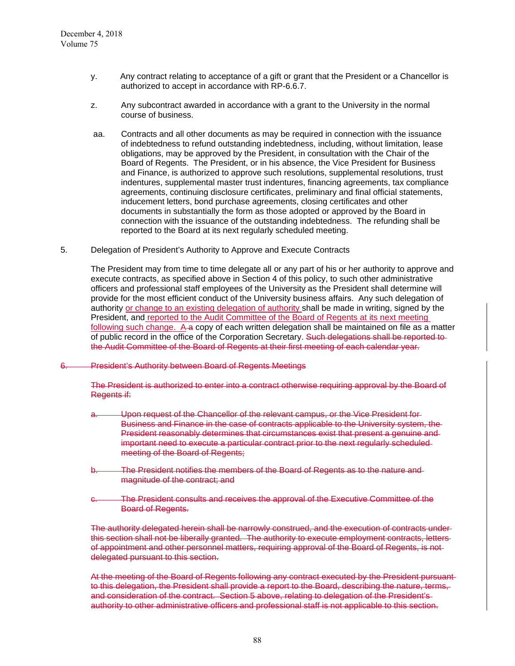- y. Any contract relating to acceptance of a gift or grant that the President or a Chancellor is authorized to accept in accordance with RP-6.6.7.
- z. Any subcontract awarded in accordance with a grant to the University in the normal course of business.
- aa. Contracts and all other documents as may be required in connection with the issuance of indebtedness to refund outstanding indebtedness, including, without limitation, lease obligations, may be approved by the President, in consultation with the Chair of the Board of Regents. The President, or in his absence, the Vice President for Business and Finance, is authorized to approve such resolutions, supplemental resolutions, trust indentures, supplemental master trust indentures, financing agreements, tax compliance agreements, continuing disclosure certificates, preliminary and final official statements, inducement letters, bond purchase agreements, closing certificates and other documents in substantially the form as those adopted or approved by the Board in connection with the issuance of the outstanding indebtedness. The refunding shall be reported to the Board at its next regularly scheduled meeting.
- 5. Delegation of President's Authority to Approve and Execute Contracts

The President may from time to time delegate all or any part of his or her authority to approve and execute contracts, as specified above in Section 4 of this policy, to such other administrative officers and professional staff employees of the University as the President shall determine will provide for the most efficient conduct of the University business affairs. Any such delegation of authority or change to an existing delegation of authority shall be made in writing, signed by the President, and reported to the Audit Committee of the Board of Regents at its next meeting following such change. A a copy of each written delegation shall be maintained on file as a matter of public record in the office of the Corporation Secretary. Such delegations shall be reported to the Audit Committee of the Board of Regents at their first meeting of each calendar year.

6. President's Authority between Board of Regents Meetings

The President is authorized to enter into a contract otherwise requiring approval by the Board of Regents if:

- a. Upon request of the Chancellor of the relevant campus, or the Vice President for Business and Finance in the case of contracts applicable to the University system, the President reasonably determines that circumstances exist that present a genuine and important need to execute a particular contract prior to the next regularly scheduled meeting of the Board of Regents;
- The President notifies the members of the Board of Regents as to the nature and magnitude of the contract; and
- The President consults and receives the approval of the Executive Committee of the Board of Regents.

The authority delegated herein shall be narrowly construed, and the execution of contracts under this section shall not be liberally granted. The authority to execute employment contracts, lettersof appointment and other personnel matters, requiring approval of the Board of Regents, is not delegated pursuant to this section.

At the meeting of the Board of Regents following any contract executed by the President pursuant to this delegation, the President shall provide a report to the Board, describing the nature, terms, and consideration of the contract. Section 5 above, relating to delegation of the President's authority to other administrative officers and professional staff is not applicable to this section.